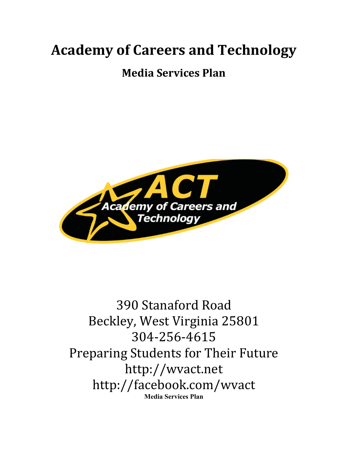## **Academy of Careers and Technology**

## **Media Services Plan**



## 390 Stanaford Road Beckley, West Virginia 25801 304-256-4615 Preparing Students for Their Future http://wvact.net http://facebook.com/wvact **Media Services Plan**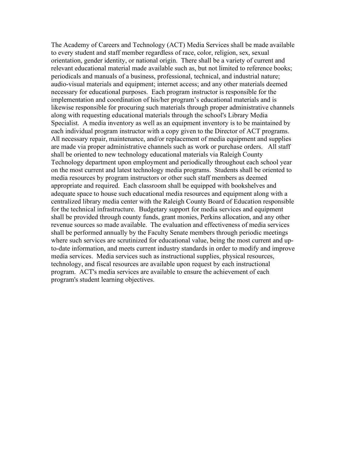The Academy of Careers and Technology (ACT) Media Services shall be made available to every student and staff member regardless of race, color, religion, sex, sexual orientation, gender identity, or national origin. There shall be a variety of current and relevant educational material made available such as, but not limited to reference books; periodicals and manuals of a business, professional, technical, and industrial nature; audio-visual materials and equipment; internet access; and any other materials deemed necessary for educational purposes. Each program instructor is responsible for the implementation and coordination of his/her program's educational materials and is likewise responsible for procuring such materials through proper administrative channels along with requesting educational materials through the school's Library Media Specialist. A media inventory as well as an equipment inventory is to be maintained by each individual program instructor with a copy given to the Director of ACT programs. All necessary repair, maintenance, and/or replacement of media equipment and supplies are made via proper administrative channels such as work or purchase orders. All staff shall be oriented to new technology educational materials via Raleigh County Technology department upon employment and periodically throughout each school year on the most current and latest technology media programs. Students shall be oriented to media resources by program instructors or other such staff members as deemed appropriate and required. Each classroom shall be equipped with bookshelves and adequate space to house such educational media resources and equipment along with a centralized library media center with the Raleigh County Board of Education responsible for the technical infrastructure. Budgetary support for media services and equipment shall be provided through county funds, grant monies, Perkins allocation, and any other revenue sources so made available. The evaluation and effectiveness of media services shall be performed annually by the Faculty Senate members through periodic meetings where such services are scrutinized for educational value, being the most current and upto-date information, and meets current industry standards in order to modify and improve media services. Media services such as instructional supplies, physical resources, technology, and fiscal resources are available upon request by each instructional program. ACT's media services are available to ensure the achievement of each program's student learning objectives.